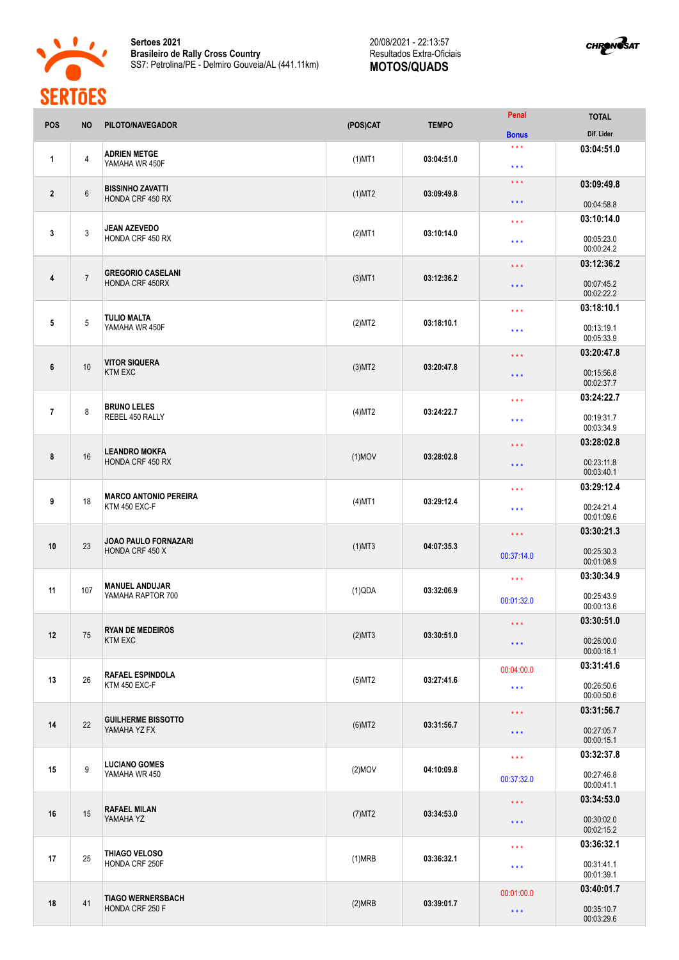

**Sertoes 2021 Brasileiro de Rally Cross Country** SS7: Petrolina/PE - Delmiro Gouveia/AL (441.11km) 20/08/2021 - 22:13:57 Resultados Extra-Oficiais **MOTOS/QUADS**



| <b>POS</b>     | <b>NO</b>      | PILOTO/NAVEGADOR                               | (POS)CAT             | <b>TEMPO</b>            | Penal                                                                                                          | <b>TOTAL</b>             |
|----------------|----------------|------------------------------------------------|----------------------|-------------------------|----------------------------------------------------------------------------------------------------------------|--------------------------|
|                |                |                                                |                      |                         | <b>Bonus</b>                                                                                                   | Dif. Lider               |
|                |                | <b>ADRIEN METGE</b>                            |                      |                         | $\star\star\star$                                                                                              | 03:04:51.0               |
| 1              | $\overline{4}$ | YAMAHA WR 450F                                 | $(1)$ MT1            | 03:04:51.0              | $\star\star\star$                                                                                              |                          |
|                |                |                                                |                      |                         | $\star$ $\star$ $\star$                                                                                        | 03:09:49.8               |
| $\mathbf{2}$   | $6\,$          | <b>BISSINHO ZAVATTI</b><br>HONDA CRF 450 RX    | $(1)$ MT2            | 03:09:49.8              | $***$                                                                                                          |                          |
|                |                |                                                |                      |                         |                                                                                                                | 00:04:58.8<br>03:10:14.0 |
| 3              | $\mathbf{3}$   | <b>JEAN AZEVEDO</b>                            | $(2)$ MT1            | 03:10:14.0              | $\star\star\star$                                                                                              |                          |
|                |                | HONDA CRF 450 RX                               |                      |                         | $***$                                                                                                          | 00:05:23.0<br>00:00:24.2 |
|                |                |                                                |                      |                         | $\star \star \star$                                                                                            | 03:12:36.2               |
| 4              | $\overline{7}$ | <b>GREGORIO CASELANI</b><br>HONDA CRF 450RX    | $(3)$ MT1            | 03:12:36.2              |                                                                                                                |                          |
|                |                |                                                |                      |                         | * * *                                                                                                          | 00:07:45.2<br>00:02:22.2 |
|                |                |                                                |                      |                         | $***$                                                                                                          | 03:18:10.1               |
| 5              | $\overline{5}$ | <b>TULIO MALTA</b><br>YAMAHA WR 450F           | (2)MT2               | 03:18:10.1              |                                                                                                                | 00:13:19.1               |
|                |                |                                                |                      |                         | $\star\star\star$                                                                                              | 00:05:33.9               |
|                |                |                                                |                      |                         | * * *                                                                                                          | 03:20:47.8               |
| 6              | 10             | <b>VITOR SIQUERA</b><br><b>KTM EXC</b>         | $(3)$ MT2            | 03:20:47.8              | $***$                                                                                                          | 00:15:56.8               |
|                |                |                                                |                      |                         |                                                                                                                | 00:02:37.7               |
|                |                | <b>BRUNO LELES</b><br>REBEL 450 RALLY          |                      |                         | $***$                                                                                                          | 03:24:22.7               |
| $\overline{1}$ | 8              |                                                | $(4)$ MT2            | 03:24:22.7              | $\star\star\star$                                                                                              | 00:19:31.7               |
|                |                |                                                |                      |                         |                                                                                                                | 00:03:34.9               |
|                |                | <b>LEANDRO MOKFA</b><br>HONDA CRF 450 RX       |                      |                         | $\star\star\star$                                                                                              | 03:28:02.8               |
| 8              | 16             |                                                | $(1)$ MOV            | 03:28:02.8              | * * *                                                                                                          | 00:23:11.8               |
|                |                |                                                |                      |                         |                                                                                                                | 00:03:40.1               |
| 9              | 18             | <b>MARCO ANTONIO PEREIRA</b><br>KTM 450 EXC-F  |                      |                         | $***$                                                                                                          | 03:29:12.4               |
|                |                |                                                | $(4)$ MT1            | 03:29:12.4              | $***$                                                                                                          | 00:24:21.4               |
|                |                |                                                |                      |                         |                                                                                                                |                          |
| 10             | 23             | <b>JOAO PAULO FORNAZARI</b><br>HONDA CRF 450 X | $(1)$ MT3            | 04:07:35.3              | 00:01:09.6<br>03:30:21.3<br>* * *<br>00:25:30.3<br>00:37:14.0<br>00:01:08.9<br>03:30:34.9<br>$\star\star\star$ |                          |
|                |                |                                                |                      |                         |                                                                                                                |                          |
|                |                |                                                |                      |                         |                                                                                                                |                          |
| 11             | 107            | <b>MANUEL ANDUJAR</b><br>YAMAHA RAPTOR 700     | (1)QDA               | 03:32:06.9              |                                                                                                                |                          |
|                |                |                                                |                      |                         | 00:01:32.0                                                                                                     | 00:25:43.9<br>00:00:13.6 |
|                | 75             | <b>RYAN DE MEDEIROS</b><br><b>KTM EXC</b>      | (2)MT3               | 03:30:51.0              | $\star$ $\star$ $\star$                                                                                        | 03:30:51.0               |
| 12             |                |                                                |                      |                         |                                                                                                                | 00:26:00.0               |
|                |                |                                                |                      |                         | $\star$ $\star$ $\star$                                                                                        | 00:00:16.1               |
|                | 26             | <b>RAFAEL ESPINDOLA</b><br>KTM 450 EXC-F       |                      | 03:27:41.6              | 00:04:00.0                                                                                                     | 03:31:41.6               |
| 13             |                |                                                | $(5)$ MT2            |                         | $\star$ $\star$ $\star$                                                                                        | 00:26:50.6               |
|                |                |                                                |                      |                         |                                                                                                                | 00:00:50.6               |
|                | 22             | <b>GUILHERME BISSOTTO</b><br>YAMAHA YZ FX      |                      |                         | $\star$ $\star$ $\star$                                                                                        | 03:31:56.7               |
| 14             |                |                                                | $(6)$ MT2            | 03:31:56.7              | * * *                                                                                                          | 00:27:05.7               |
|                |                |                                                |                      |                         |                                                                                                                | 00:00:15.1               |
| 15             | $9\,$          | <b>LUCIANO GOMES</b><br>YAMAHA WR 450          | $(2)$ MOV            | 04:10:09.8              | $\star \star \star$                                                                                            | 03:32:37.8               |
|                |                |                                                |                      |                         | 00:37:32.0                                                                                                     | 00:27:46.8<br>00:00:41.1 |
|                |                |                                                |                      |                         |                                                                                                                | 03:34:53.0               |
| 16             | 15             | <b>RAFAEL MILAN</b><br>YAMAHA YZ               | (7)MT2               | 03:34:53.0              | $\star$ $\star$ $\star$                                                                                        |                          |
|                |                |                                                |                      |                         | $\star$ $\star$ $\star$                                                                                        | 00:30:02.0<br>00:02:15.2 |
|                |                |                                                |                      |                         | $\star\star\star$                                                                                              | 03:36:32.1               |
| 17             | 25             | THIAGO VELOSO<br>HONDA CRF 250F                | 03:36:32.1<br>(1)MRB |                         |                                                                                                                |                          |
|                |                |                                                |                      |                         | $***$                                                                                                          | 00:31:41.1<br>00:01:39.1 |
|                |                |                                                |                      |                         | 00:01:00.0                                                                                                     | 03:40:01.7               |
| 18             | 41             | <b>TIAGO WERNERSBACH</b><br>HONDA CRF 250 F    | (2)MRB               | 03:39:01.7              |                                                                                                                | 00:35:10.7               |
|                |                |                                                |                      | $\star$ $\star$ $\star$ |                                                                                                                | 00:03:29.6               |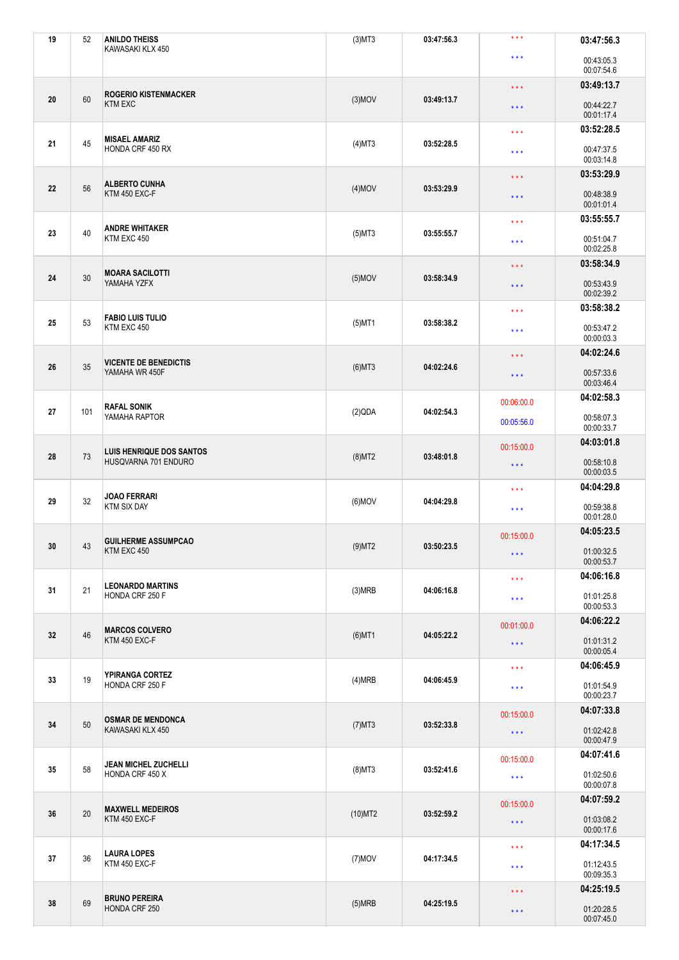| 19 | 52  | <b>ANILDO THEISS</b>                                    | $(3)$ MT3  | 03:47:56.3                                                       | $***$                    | 03:47:56.3               |
|----|-----|---------------------------------------------------------|------------|------------------------------------------------------------------|--------------------------|--------------------------|
|    |     | KAWASAKI KLX 450                                        |            |                                                                  | $\star$ $\star$ $\star$  | 00:43:05.3<br>00:07:54.6 |
|    |     |                                                         |            | $\star$ $\star$ $\star$<br>03:49:13.7<br>$\star$ $\star$ $\star$ | 03:49:13.7               |                          |
| 20 | 60  | <b>ROGERIO KISTENMACKER</b><br><b>KTM EXC</b>           | $(3)$ MOV  |                                                                  |                          | 00:44:22.7<br>00:01:17.4 |
|    |     | <b>MISAEL AMARIZ</b>                                    |            |                                                                  | $\star$ $\star$ $\star$  | 03:52:28.5               |
| 21 | 45  | HONDA CRF 450 RX                                        | $(4)$ MT3  | 03:52:28.5                                                       | $***$                    | 00:47:37.5<br>00:03:14.8 |
|    |     | <b>ALBERTO CUNHA</b>                                    |            |                                                                  | $\star$ $\star$ $\star$  | 03:53:29.9               |
| 22 | 56  | KTM 450 EXC-F                                           | $(4)$ MOV  | 03:53:29.9                                                       | $\star$ $\star$ $\star$  | 00:48:38.9<br>00:01:01.4 |
|    |     | <b>ANDRE WHITAKER</b>                                   |            |                                                                  | $\star\star\star$        | 03:55:55.7               |
| 23 | 40  | KTM EXC 450                                             | $(5)$ MT3  | 03:55:55.7                                                       | $***$                    | 00:51:04.7<br>00:02:25.8 |
|    |     | <b>MOARA SACILOTTI</b>                                  |            |                                                                  | $\star$ $\star$ $\star$  | 03:58:34.9               |
| 24 | 30  | YAMAHA YZFX                                             | $(5)$ MOV  | 03:58:34.9                                                       | $\star$ $\star$ $\star$  | 00:53:43.9<br>00:02:39.2 |
|    |     | <b>FABIO LUIS TULIO</b>                                 |            |                                                                  | $\star\star\star$        | 03:58:38.2               |
| 25 | 53  | KTM EXC 450                                             | $(5)$ MT1  | 03:58:38.2                                                       | $***$                    | 00:53:47.2<br>00:00:03.3 |
|    |     | <b>VICENTE DE BENEDICTIS</b>                            |            |                                                                  | $\star$ $\star$ $\star$  | 04:02:24.6               |
| 26 | 35  | YAMAHA WR 450F                                          | $(6)$ MT3  | 04:02:24.6                                                       | $***$                    | 00:57:33.6<br>00:03:46.4 |
|    |     | <b>RAFAL SONIK</b>                                      |            |                                                                  | 00:06:00.0               | 04:02:58.3               |
| 27 | 101 | YAMAHA RAPTOR                                           | (2)QDA     | 04:02:54.3                                                       | 00:05:56.0               | 00:58:07.3<br>00:00:33.7 |
|    | 73  | <b>LUIS HENRIQUE DOS SANTOS</b><br>HUSQVARNA 701 ENDURO |            |                                                                  | 00:15:00.0               | 04:03:01.8               |
| 28 |     |                                                         | $(8)$ MT2  | 03:48:01.8                                                       | $\star$ $\star$ $\star$  | 00:58:10.8<br>00:00:03.5 |
|    |     | <b>JOAO FERRARI</b>                                     |            |                                                                  | $\star\star\star$        | 04:04:29.8               |
| 29 | 32  | <b>KTM SIX DAY</b>                                      | $(6)$ MOV  | 04:04:29.8                                                       | $\star$ $\star$ $\star$  | 00:59:38.8<br>00:01:28.0 |
|    |     | <b>GUILHERME ASSUMPCAO</b>                              |            |                                                                  | 00:15:00.0               | 04:05:23.5               |
| 30 | 43  | KTM EXC 450                                             | $(9)$ MT2  | 03:50:23.5                                                       | $\star$ $\star$ $\star$  | 01:00:32.5<br>00:00:53.7 |
|    |     | <b>LEONARDO MARTINS</b>                                 |            |                                                                  | $\star\star\star$        | 04:06:16.8               |
| 31 | 21  | HONDA CRF 250 F                                         | (3)MRB     | 04:06:16.8                                                       | $\star$ $\star$ $\star$  | 01:01:25.8<br>00:00:53.3 |
|    |     |                                                         |            |                                                                  | 00:01:00.0               | 04:06:22.2               |
| 32 | 46  | <b>MARCOS COLVERO</b><br>KTM 450 EXC-F                  | $(6)$ MT1  | 04:05:22.2                                                       | $\star$ $\star$ $\star$  | 01:01:31.2<br>00:00:05.4 |
|    |     |                                                         |            |                                                                  | $\star\star\star$        | 04:06:45.9               |
| 33 | 19  | YPIRANGA CORTEZ<br>HONDA CRF 250 F                      | (4)MRB     | 04:06:45.9                                                       | $\star\star\star$        | 01:01:54.9<br>00:00:23.7 |
|    | 50  | <b>OSMAR DE MENDONCA</b><br>KAWASAKI KLX 450            |            |                                                                  | 00:15:00.0               | 04:07:33.8               |
| 34 |     |                                                         | $(7)$ MT3  | 03:52:33.8                                                       | $\star$ $\star$ $\star$  | 01:02:42.8<br>00:00:47.9 |
|    | 58  | <b>JEAN MICHEL ZUCHELLI</b><br>HONDA CRF 450 X          |            |                                                                  | 00:15:00.0               | 04:07:41.6               |
| 35 |     |                                                         | $(8)$ MT3  | 03:52:41.6                                                       | $\star\star\star$        | 01:02:50.6<br>00:00:07.8 |
|    | 20  | <b>MAXWELL MEDEIROS</b><br>KTM 450 EXC-F                |            |                                                                  | 00:15:00.0               | 04:07:59.2               |
| 36 |     |                                                         | $(10)$ MT2 | 03:52:59.2                                                       | $\star$ $\star$ $\star$  | 01:03:08.2<br>00:00:17.6 |
|    |     |                                                         |            |                                                                  | $\star\star\star$        | 04:17:34.5               |
| 37 | 36  | <b>LAURA LOPES</b><br>KTM 450 EXC-F                     | $(7)$ MOV  | 04:17:34.5                                                       | $\star\star\star$        | 01:12:43.5<br>00:09:35.3 |
|    | 69  | <b>BRUNO PEREIRA</b><br>HONDA CRF 250                   |            |                                                                  | $\star\star\star$        | 04:25:19.5               |
| 38 |     |                                                         | (5)MRB     | 04:25:19.5<br>$\star$ $\star$ $\star$                            | 01:20:28.5<br>00:07:45.0 |                          |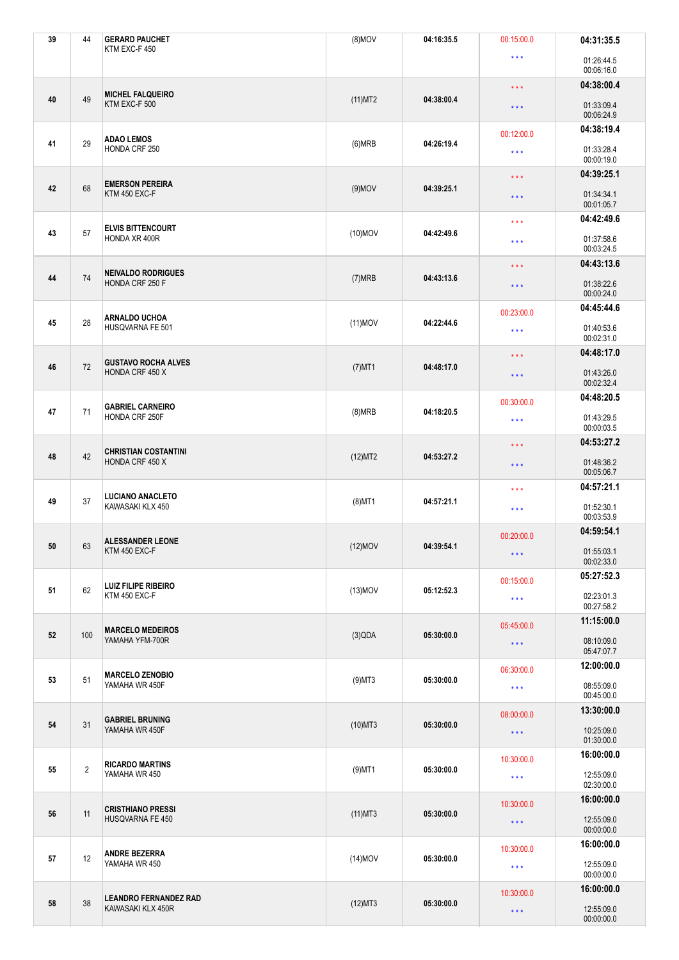| 39 | 44             | <b>GERARD PAUCHET</b><br>KTM EXC-F 450            | $(8)$ MOV               | 04:16:35.5                                                 | 00:15:00.0              | 04:31:35.5               |
|----|----------------|---------------------------------------------------|-------------------------|------------------------------------------------------------|-------------------------|--------------------------|
|    |                |                                                   |                         |                                                            | $\star\star\star$       | 01:26:44.5<br>00:06:16.0 |
|    |                |                                                   |                         | $\star\star\star$<br>04:38:00.4<br>$\star$ $\star$ $\star$ | 04:38:00.4              |                          |
| 40 | 49             | <b>MICHEL FALQUEIRO</b><br>KTM EXC-F 500          | $(11)$ MT2              |                                                            |                         | 01:33:09.4<br>00:06:24.9 |
|    |                | <b>ADAO LEMOS</b>                                 |                         |                                                            | 00:12:00.0              | 04:38:19.4               |
| 41 | 29             | HONDA CRF 250                                     | (6)MRB                  | 04:26:19.4                                                 | $\star\star\star$       | 01:33:28.4<br>00:00:19.0 |
|    |                | <b>EMERSON PEREIRA</b>                            |                         |                                                            | $\star$ $\star$ $\star$ | 04:39:25.1               |
| 42 | 68             | KTM 450 EXC-F                                     | $(9)$ MOV               | 04:39:25.1                                                 | $\star$ $\star$ $\star$ | 01:34:34.1<br>00:01:05.7 |
|    |                | <b>ELVIS BITTENCOURT</b>                          |                         |                                                            | $\star\star\star$       | 04:42:49.6               |
| 43 | 57             | HONDA XR 400R                                     | $(10)$ MOV              | 04:42:49.6                                                 | $\star$ $\star$ $\star$ | 01:37:58.6<br>00:03:24.5 |
|    |                | <b>NEIVALDO RODRIGUES</b>                         |                         |                                                            | $\star$ $\star$ $\star$ | 04:43:13.6               |
| 44 | 74             | HONDA CRF 250 F                                   | (7)MRB                  | 04:43:13.6                                                 | $\star$ $\star$ $\star$ | 01:38:22.6<br>00:00:24.0 |
|    |                | <b>ARNALDO UCHOA</b>                              |                         |                                                            | 00:23:00.0              | 04:45:44.6               |
| 45 | 28             | HUSQVARNA FE 501                                  | $(11)$ MOV              | 04:22:44.6                                                 | $\star\star\star$       | 01:40:53.6<br>00:02:31.0 |
|    |                | <b>GUSTAVO ROCHA ALVES</b>                        |                         |                                                            | $\star$ $\star$ $\star$ | 04:48:17.0               |
| 46 | 72             | HONDA CRF 450 X                                   | $(7)$ MT1               | 04:48:17.0                                                 | $\star$ $\star$ $\star$ | 01:43:26.0<br>00:02:32.4 |
|    |                | <b>GABRIEL CARNEIRO</b><br>HONDA CRF 250F         |                         |                                                            | 00:30:00.0              | 04:48:20.5               |
| 47 | 71             |                                                   | (8)MRB                  | 04:18:20.5                                                 | $\star\star\star$       | 01:43:29.5<br>00:00:03.5 |
|    |                | <b>CHRISTIAN COSTANTINI</b><br>HONDA CRF 450 X    |                         |                                                            | $\star$ $\star$ $\star$ | 04:53:27.2               |
| 48 | 42             |                                                   | (12)MT2                 | 04:53:27.2                                                 | $\star$ $\star$ $\star$ | 01:48:36.2<br>00:05:06.7 |
|    |                | <b>LUCIANO ANACLETO</b><br>KAWASAKI KLX 450       |                         |                                                            | $\star\star\star$       | 04:57:21.1               |
| 49 | 37             |                                                   | $(8)$ MT1               | 04:57:21.1                                                 | $\star\star\star$       | 01:52:30.1<br>00:03:53.9 |
|    |                | <b>ALESSANDER LEONE</b>                           |                         |                                                            | 00:20:00.0              | 04:59:54.1               |
| 50 | 63             | KTM 450 EXC-F                                     | $(12)$ MOV              | 04:39:54.1                                                 | $\star\star\star$       | 01:55:03.1<br>00:02:33.0 |
|    |                | <b>LUIZ FILIPE RIBEIRO</b>                        |                         |                                                            | 00:15:00.0              | 05:27:52.3               |
| 51 | 62             | KTM 450 EXC-F                                     | $(13)$ MOV              | 05:12:52.3                                                 | $\star\star\star$       | 02:23:01.3<br>00:27:58.2 |
|    |                |                                                   |                         | 05:30:00.0                                                 | 05:45:00.0              | 11:15:00.0               |
| 52 | 100            | <b>MARCELO MEDEIROS</b><br>YAMAHA YFM-700R        | (3)QDA                  |                                                            | $\star$ $\star$ $\star$ | 08:10:09.0<br>05:47:07.7 |
|    | 51             | <b>MARCELO ZENOBIO</b><br>YAMAHA WR 450F          |                         |                                                            | 06:30:00.0              | 12:00:00.0               |
| 53 |                |                                                   | $(9)$ MT3<br>05:30:00.0 |                                                            | $\star\star\star$       | 08:55:09.0<br>00:45:00.0 |
|    | 31             | <b>GABRIEL BRUNING</b><br>YAMAHA WR 450F          |                         |                                                            | 08:00:00.0              | 13:30:00.0               |
| 54 |                |                                                   | $(10)$ MT3              | 05:30:00.0                                                 | $\star$ $\star$ $\star$ | 10:25:09.0<br>01:30:00.0 |
|    | $\overline{2}$ | <b>RICARDO MARTINS</b><br>YAMAHA WR 450           |                         |                                                            | 10:30:00.0              | 16:00:00.0               |
| 55 |                |                                                   | $(9)$ MT1               | 05:30:00.0                                                 | $\star\star\star$       | 12:55:09.0<br>02:30:00.0 |
|    | 11             | <b>CRISTHIANO PRESSI</b><br>HUSQVARNA FE 450      |                         |                                                            | 10:30:00.0              | 16:00:00.0               |
| 56 |                |                                                   | $(11)$ MT3              | 05:30:00.0                                                 | $\star\star\star$       | 12:55:09.0<br>00:00:00.0 |
|    |                |                                                   |                         |                                                            | 10:30:00.0              | 16:00:00.0               |
| 57 | 12             | <b>ANDRE BEZERRA</b><br>YAMAHA WR 450             | $(14)$ MOV              | 05:30:00.0                                                 | $\star\star\star$       | 12:55:09.0<br>00:00:00.0 |
| 58 | 38             | <b>LEANDRO FERNANDEZ RAD</b><br>KAWASAKI KLX 450R |                         |                                                            | 10:30:00.0              | 16:00:00.0               |
|    |                |                                                   | $(12)$ MT3              | 05:30:00.0                                                 | $\star\star\star$       | 12:55:09.0<br>00:00:00.0 |